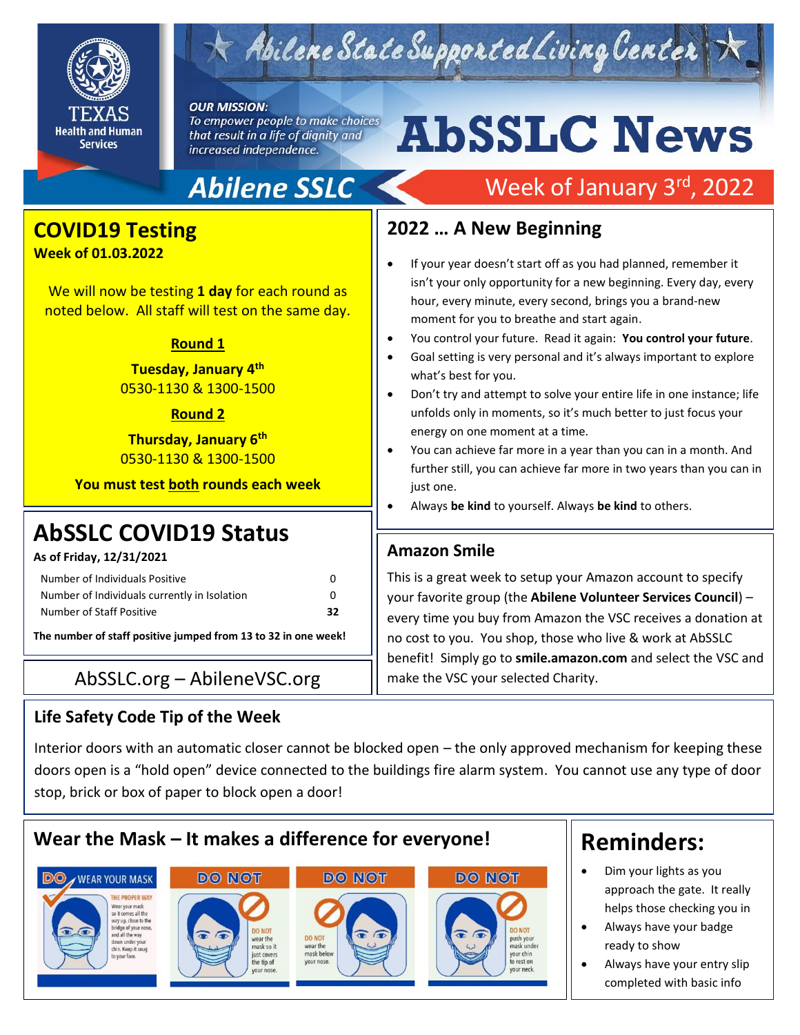

# $\times$  Abilene State Supported Living Center

#### **OUR MISSION:**

To empower people to make choices that result in a life of dignity and increased independence.

# **AbSSLC News**

Week of January 3rd, 2022

# **Abilene SSLC**

## **COVID19 Testing**

**Week of 01.03.2022**

We will now be testing **1 day** for each round as noted below. All staff will test on the same day.

### **Round 1**

## **Tuesday, January 4th** 0530-1130 & 1300-1500

### **Round 2**

**Thursday, January 6th** 0530-1130 & 1300-1500

**You must test both rounds each week**

# **AbSSLC COVID19 Status**

**As of Friday, 12/31/2021**

| Number of Individuals Positive               | 0  |
|----------------------------------------------|----|
| Number of Individuals currently in Isolation | o  |
| Number of Staff Positive                     | 32 |

**The number of staff positive jumped from 13 to 32 in one week!**

## $\mathsf{AbsSLC}.\mathsf{org}-\mathsf{AbileneVSC}.\mathsf{org}$  | make the VSC your selected Charity.

## **Life Safety Code Tip of the Week**

## **2022 … A New Beginning**

- If your year doesn't start off as you had planned, remember it isn't your only opportunity for a new beginning. Every day, every hour, every minute, every second, brings you a brand-new moment for you to breathe and start again.
- You control your future. Read it again: **You control your future**.
- Goal setting is very personal and it's always important to explore what's best for you.
- Don't try and attempt to solve your entire life in one instance; life unfolds only in moments, so it's much better to just focus your energy on one moment at a time.
- You can achieve far more in a year than you can in a month. And further still, you can achieve far more in two years than you can in just one.
- Always **be kind** to yourself. Always **be kind** to others.

## **Amazon Smile**

This is a great week to setup your Amazon account to specify your favorite group (the **Abilene Volunteer Services Council**) – every time you buy from Amazon the VSC receives a donation at no cost to you. You shop, those who live & work at AbSSLC benefit! Simply go to **smile.amazon.com** and select the VSC and

Interior doors with an automatic closer cannot be blocked open – the only approved mechanism for keeping these doors open is a "hold open" device connected to the buildings fire alarm system. You cannot use any type of door stop, brick or box of paper to block open a door!



#### **DO** WEAR YOUR MASK THE PROPER WAY Vear your mask vear your mass<br>co it comes all the<br>vay up, close to the<br>pridge of your nose,<br>nd all the way







# **Reminders:**

• Dim your lights as you approach the gate. It really helps those checking you in

2019<br>2019 - 2019<br>2019 - 2019 - 2019 - 2019

- Always have your badge ready to show
- Always have your entry slip completed with basic info